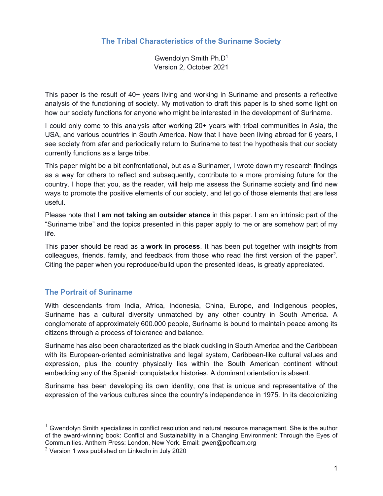# The Tribal Characteristics of the Suriname Society

Gwendolyn Smith Ph.D<sup>1</sup> Version 2, October 2021

This paper is the result of 40+ years living and working in Suriname and presents a reflective analysis of the functioning of society. My motivation to draft this paper is to shed some light on how our society functions for anyone who might be interested in the development of Suriname.

I could only come to this analysis after working 20+ years with tribal communities in Asia, the USA, and various countries in South America. Now that I have been living abroad for 6 years, I see society from afar and periodically return to Suriname to test the hypothesis that our society currently functions as a large tribe.

This paper might be a bit confrontational, but as a Surinamer, I wrote down my research findings as a way for others to reflect and subsequently, contribute to a more promising future for the country. I hope that you, as the reader, will help me assess the Suriname society and find new ways to promote the positive elements of our society, and let go of those elements that are less useful.

Please note that I am not taking an outsider stance in this paper. I am an intrinsic part of the "Suriname tribe" and the topics presented in this paper apply to me or are somehow part of my life.

This paper should be read as a **work in process**. It has been put together with insights from colleagues, friends, family, and feedback from those who read the first version of the paper<sup>2</sup>. Citing the paper when you reproduce/build upon the presented ideas, is greatly appreciated.

# The Portrait of Suriname

With descendants from India, Africa, Indonesia, China, Europe, and Indigenous peoples, Suriname has a cultural diversity unmatched by any other country in South America. A conglomerate of approximately 600.000 people, Suriname is bound to maintain peace among its citizens through a process of tolerance and balance.

Suriname has also been characterized as the black duckling in South America and the Caribbean with its European-oriented administrative and legal system, Caribbean-like cultural values and expression, plus the country physically lies within the South American continent without embedding any of the Spanish conquistador histories. A dominant orientation is absent.

Suriname has been developing its own identity, one that is unique and representative of the expression of the various cultures since the country's independence in 1975. In its decolonizing

 $1$  Gwendolyn Smith specializes in conflict resolution and natural resource management. She is the author of the award-winning book: Conflict and Sustainability in a Changing Environment: Through the Eyes of Communities. Anthem Press: London, New York. Email: gwen@pofteam.org

 $2$  Version 1 was published on LinkedIn in July 2020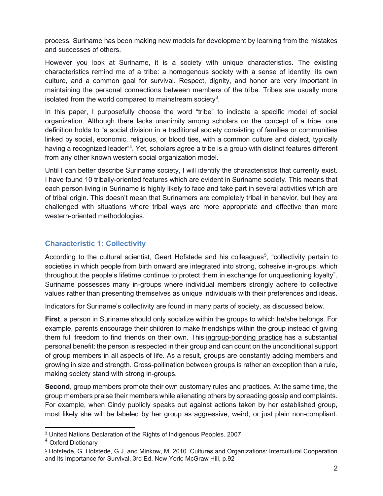process, Suriname has been making new models for development by learning from the mistakes and successes of others.

However you look at Suriname, it is a society with unique characteristics. The existing characteristics remind me of a tribe: a homogenous society with a sense of identity, its own culture, and a common goal for survival. Respect, dignity, and honor are very important in maintaining the personal connections between members of the tribe. Tribes are usually more isolated from the world compared to mainstream society<sup>3</sup>.

In this paper, I purposefully choose the word "tribe" to indicate a specific model of social organization. Although there lacks unanimity among scholars on the concept of a tribe, one definition holds to "a social division in a traditional society consisting of families or communities linked by social, economic, religious, or blood ties, with a common culture and dialect, typically having a recognized leader"<sup>4</sup>. Yet, scholars agree a tribe is a group with distinct features different from any other known western social organization model.

Until I can better describe Suriname society, I will identify the characteristics that currently exist. I have found 10 tribally-oriented features which are evident in Suriname society. This means that each person living in Suriname is highly likely to face and take part in several activities which are of tribal origin. This doesn't mean that Surinamers are completely tribal in behavior, but they are challenged with situations where tribal ways are more appropriate and effective than more western-oriented methodologies.

## Characteristic 1: Collectivity

According to the cultural scientist, Geert Hofstede and his colleagues<sup>5</sup>, "collectivity pertain to societies in which people from birth onward are integrated into strong, cohesive in-groups, which throughout the people's lifetime continue to protect them in exchange for unquestioning loyalty". Suriname possesses many in-groups where individual members strongly adhere to collective values rather than presenting themselves as unique individuals with their preferences and ideas.

Indicators for Suriname's collectivity are found in many parts of society, as discussed below.

First, a person in Suriname should only socialize within the groups to which he/she belongs. For example, parents encourage their children to make friendships within the group instead of giving them full freedom to find friends on their own. This ingroup-bonding practice has a substantial personal benefit: the person is respected in their group and can count on the unconditional support of group members in all aspects of life. As a result, groups are constantly adding members and growing in size and strength. Cross-pollination between groups is rather an exception than a rule, making society stand with strong in-groups.

Second, group members promote their own customary rules and practices. At the same time, the group members praise their members while alienating others by spreading gossip and complaints. For example, when Cindy publicly speaks out against actions taken by her established group, most likely she will be labeled by her group as aggressive, weird, or just plain non-compliant.

<sup>3</sup> United Nations Declaration of the Rights of Indigenous Peoples. 2007

<sup>4</sup> Oxford Dictionary

<sup>5</sup> Hofstede, G. Hofstede, G.J. and Minkow, M. 2010. Cultures and Organizations: Intercultural Cooperation and its Importance for Survival. 3rd Ed. New York: McGraw Hill, p.92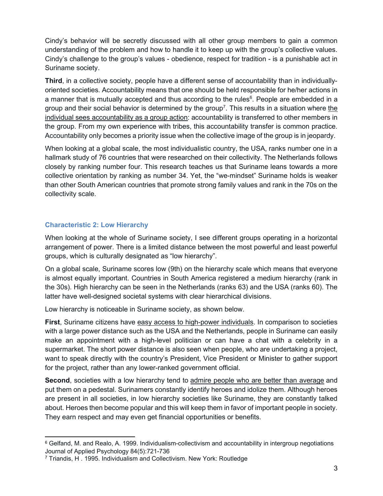Cindy's behavior will be secretly discussed with all other group members to gain a common understanding of the problem and how to handle it to keep up with the group's collective values. Cindy's challenge to the group's values - obedience, respect for tradition - is a punishable act in Suriname society.

Third, in a collective society, people have a different sense of accountability than in individuallyoriented societies. Accountability means that one should be held responsible for he/her actions in a manner that is mutually accepted and thus according to the rules<sup>6</sup>. People are embedded in a group and their social behavior is determined by the group<sup>7</sup>. This results in a situation where the individual sees accountability as a group action: accountability is transferred to other members in the group. From my own experience with tribes, this accountability transfer is common practice. Accountability only becomes a priority issue when the collective image of the group is in jeopardy.

When looking at a global scale, the most individualistic country, the USA, ranks number one in a hallmark study of 76 countries that were researched on their collectivity. The Netherlands follows closely by ranking number four. This research teaches us that Suriname leans towards a more collective orientation by ranking as number 34. Yet, the "we-mindset" Suriname holds is weaker than other South American countries that promote strong family values and rank in the 70s on the collectivity scale.

#### Characteristic 2: Low Hierarchy

When looking at the whole of Suriname society, I see different groups operating in a horizontal arrangement of power. There is a limited distance between the most powerful and least powerful groups, which is culturally designated as "low hierarchy".

On a global scale, Suriname scores low (9th) on the hierarchy scale which means that everyone is almost equally important. Countries in South America registered a medium hierarchy (rank in the 30s). High hierarchy can be seen in the Netherlands (ranks 63) and the USA (ranks 60). The latter have well-designed societal systems with clear hierarchical divisions.

Low hierarchy is noticeable in Suriname society, as shown below.

First, Suriname citizens have easy access to high-power individuals. In comparison to societies with a large power distance such as the USA and the Netherlands, people in Suriname can easily make an appointment with a high-level politician or can have a chat with a celebrity in a supermarket. The short power distance is also seen when people, who are undertaking a project, want to speak directly with the country's President, Vice President or Minister to gather support for the project, rather than any lower-ranked government official.

Second, societies with a low hierarchy tend to admire people who are better than average and put them on a pedestal. Surinamers constantly identify heroes and idolize them. Although heroes are present in all societies, in low hierarchy societies like Suriname, they are constantly talked about. Heroes then become popular and this will keep them in favor of important people in society. They earn respect and may even get financial opportunities or benefits.

<sup>6</sup> Gelfand, M. and Realo, A. 1999. Individualism-collectivism and accountability in intergroup negotiations Journal of Applied Psychology 84(5):721-736

<sup>7</sup> Triandis, H . 1995. Individualism and Collectivism. New York: Routledge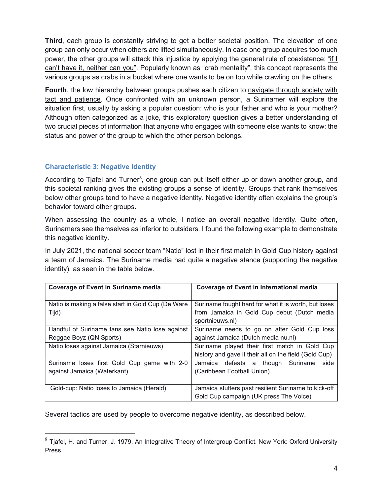Third, each group is constantly striving to get a better societal position. The elevation of one group can only occur when others are lifted simultaneously. In case one group acquires too much power, the other groups will attack this injustice by applying the general rule of coexistence: "if I can't have it, neither can you". Popularly known as "crab mentality", this concept represents the various groups as crabs in a bucket where one wants to be on top while crawling on the others.

Fourth, the low hierarchy between groups pushes each citizen to navigate through society with tact and patience. Once confronted with an unknown person, a Surinamer will explore the situation first, usually by asking a popular question: who is your father and who is your mother? Although often categorized as a joke, this exploratory question gives a better understanding of two crucial pieces of information that anyone who engages with someone else wants to know: the status and power of the group to which the other person belongs.

## Characteristic 3: Negative Identity

According to Tjafel and Turner<sup>8</sup>, one group can put itself either up or down another group, and this societal ranking gives the existing groups a sense of identity. Groups that rank themselves below other groups tend to have a negative identity. Negative identity often explains the group's behavior toward other groups.

When assessing the country as a whole, I notice an overall negative identity. Quite often, Surinamers see themselves as inferior to outsiders. I found the following example to demonstrate this negative identity.

In July 2021, the national soccer team "Natio" lost in their first match in Gold Cup history against a team of Jamaica. The Suriname media had quite a negative stance (supporting the negative identity), as seen in the table below.

| <b>Coverage of Event in Suriname media</b>                                 | <b>Coverage of Event in International media</b>                                                                        |
|----------------------------------------------------------------------------|------------------------------------------------------------------------------------------------------------------------|
| Natio is making a false start in Gold Cup (De Ware<br>Tijd)                | Suriname fought hard for what it is worth, but loses<br>from Jamaica in Gold Cup debut (Dutch media<br>sportnieuws.nl) |
| Handful of Suriname fans see Natio lose against<br>Reggae Boyz (QN Sports) | Suriname needs to go on after Gold Cup loss<br>against Jamaica (Dutch media nu.nl)                                     |
| Natio loses against Jamaica (Starnieuws)                                   | Suriname played their first match in Gold Cup<br>history and gave it their all on the field (Gold Cup)                 |
| Suriname loses first Gold Cup game with 2-0<br>against Jamaica (Waterkant) | side<br>Jamaica defeats a<br>though<br>Suriname<br>(Caribbean Football Union)                                          |
| Gold-cup: Natio loses to Jamaica (Herald)                                  | Jamaica stutters past resilient Suriname to kick-off<br>Gold Cup campaign (UK press The Voice)                         |

Several tactics are used by people to overcome negative identity, as described below.

 $8$  Tiafel, H. and Turner, J. 1979. An Integrative Theory of Intergroup Conflict. New York: Oxford University Press.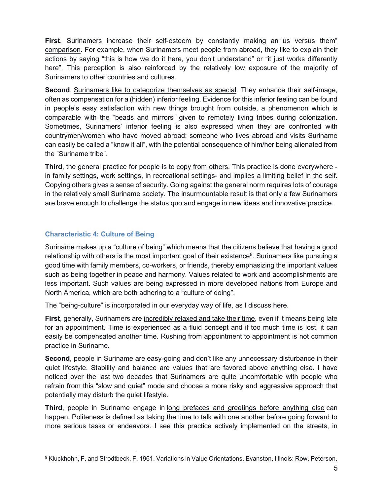First, Surinamers increase their self-esteem by constantly making an "us versus them" comparison. For example, when Surinamers meet people from abroad, they like to explain their actions by saying "this is how we do it here, you don't understand" or "it just works differently here". This perception is also reinforced by the relatively low exposure of the majority of Surinamers to other countries and cultures.

Second, Surinamers like to categorize themselves as special. They enhance their self-image, often as compensation for a (hidden) inferior feeling. Evidence for this inferior feeling can be found in people's easy satisfaction with new things brought from outside, a phenomenon which is comparable with the "beads and mirrors" given to remotely living tribes during colonization. Sometimes, Surinamers' inferior feeling is also expressed when they are confronted with countrymen/women who have moved abroad: someone who lives abroad and visits Suriname can easily be called a "know it all", with the potential consequence of him/her being alienated from the "Suriname tribe".

Third, the general practice for people is to copy from others. This practice is done everywhere in family settings, work settings, in recreational settings- and implies a limiting belief in the self. Copying others gives a sense of security. Going against the general norm requires lots of courage in the relatively small Suriname society. The insurmountable result is that only a few Surinamers are brave enough to challenge the status quo and engage in new ideas and innovative practice.

## Characteristic 4: Culture of Being

Suriname makes up a "culture of being" which means that the citizens believe that having a good relationship with others is the most important goal of their existence $^9$ . Surinamers like pursuing a good time with family members, co-workers, or friends, thereby emphasizing the important values such as being together in peace and harmony. Values related to work and accomplishments are less important. Such values are being expressed in more developed nations from Europe and North America, which are both adhering to a "culture of doing".

The "being-culture" is incorporated in our everyday way of life, as I discuss here.

First, generally, Surinamers are incredibly relaxed and take their time, even if it means being late for an appointment. Time is experienced as a fluid concept and if too much time is lost, it can easily be compensated another time. Rushing from appointment to appointment is not common practice in Suriname.

Second, people in Suriname are easy-going and don't like any unnecessary disturbance in their quiet lifestyle. Stability and balance are values that are favored above anything else. I have noticed over the last two decades that Surinamers are quite uncomfortable with people who refrain from this "slow and quiet" mode and choose a more risky and aggressive approach that potentially may disturb the quiet lifestyle.

Third, people in Suriname engage in long prefaces and greetings before anything else can happen. Politeness is defined as taking the time to talk with one another before going forward to more serious tasks or endeavors. I see this practice actively implemented on the streets, in

<sup>9</sup> Kluckhohn, F. and Strodtbeck, F. 1961. Variations in Value Orientations. Evanston, Illinois: Row, Peterson.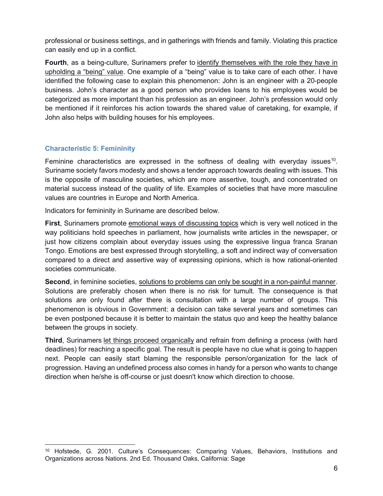professional or business settings, and in gatherings with friends and family. Violating this practice can easily end up in a conflict.

Fourth, as a being-culture, Surinamers prefer to identify themselves with the role they have in upholding a "being" value. One example of a "being" value is to take care of each other. I have identified the following case to explain this phenomenon: John is an engineer with a 20-people business. John's character as a good person who provides loans to his employees would be categorized as more important than his profession as an engineer. John's profession would only be mentioned if it reinforces his action towards the shared value of caretaking, for example, if John also helps with building houses for his employees.

## Characteristic 5: Femininity

Feminine characteristics are expressed in the softness of dealing with everyday issues<sup>10</sup>. Suriname society favors modesty and shows a tender approach towards dealing with issues. This is the opposite of masculine societies, which are more assertive, tough, and concentrated on material success instead of the quality of life. Examples of societies that have more masculine values are countries in Europe and North America.

Indicators for femininity in Suriname are described below.

First, Surinamers promote emotional ways of discussing topics which is very well noticed in the way politicians hold speeches in parliament, how journalists write articles in the newspaper, or just how citizens complain about everyday issues using the expressive lingua franca Sranan Tongo. Emotions are best expressed through storytelling, a soft and indirect way of conversation compared to a direct and assertive way of expressing opinions, which is how rational-oriented societies communicate.

Second, in feminine societies, solutions to problems can only be sought in a non-painful manner. Solutions are preferably chosen when there is no risk for tumult. The consequence is that solutions are only found after there is consultation with a large number of groups. This phenomenon is obvious in Government: a decision can take several years and sometimes can be even postponed because it is better to maintain the status quo and keep the healthy balance between the groups in society.

Third, Surinamers let things proceed organically and refrain from defining a process (with hard deadlines) for reaching a specific goal. The result is people have no clue what is going to happen next. People can easily start blaming the responsible person/organization for the lack of progression. Having an undefined process also comes in handy for a person who wants to change direction when he/she is off-course or just doesn't know which direction to choose.

<sup>10</sup> Hofstede, G. 2001. Culture's Consequences: Comparing Values, Behaviors, Institutions and Organizations across Nations. 2nd Ed. Thousand Oaks, California: Sage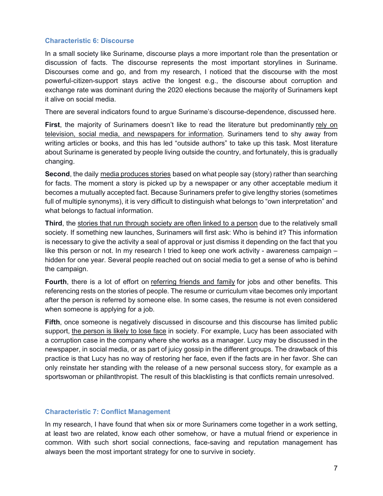#### Characteristic 6: Discourse

In a small society like Suriname, discourse plays a more important role than the presentation or discussion of facts. The discourse represents the most important storylines in Suriname. Discourses come and go, and from my research, I noticed that the discourse with the most powerful-citizen-support stays active the longest e.g., the discourse about corruption and exchange rate was dominant during the 2020 elections because the majority of Surinamers kept it alive on social media.

There are several indicators found to argue Suriname's discourse-dependence, discussed here.

First, the majority of Surinamers doesn't like to read the literature but predominantly rely on television, social media, and newspapers for information. Surinamers tend to shy away from writing articles or books, and this has led "outside authors" to take up this task. Most literature about Suriname is generated by people living outside the country, and fortunately, this is gradually changing.

Second, the daily media produces stories based on what people say (story) rather than searching for facts. The moment a story is picked up by a newspaper or any other acceptable medium it becomes a mutually accepted fact. Because Surinamers prefer to give lengthy stories (sometimes full of multiple synonyms), it is very difficult to distinguish what belongs to "own interpretation" and what belongs to factual information.

Third, the stories that run through society are often linked to a person due to the relatively small society. If something new launches, Surinamers will first ask: Who is behind it? This information is necessary to give the activity a seal of approval or just dismiss it depending on the fact that you like this person or not. In my research I tried to keep one work activity - awareness campaign – hidden for one year. Several people reached out on social media to get a sense of who is behind the campaign.

Fourth, there is a lot of effort on referring friends and family for jobs and other benefits. This referencing rests on the stories of people. The resume or curriculum vitae becomes only important after the person is referred by someone else. In some cases, the resume is not even considered when someone is applying for a job.

Fifth, once someone is negatively discussed in discourse and this discourse has limited public support, the person is likely to lose face in society. For example, Lucy has been associated with a corruption case in the company where she works as a manager. Lucy may be discussed in the newspaper, in social media, or as part of juicy gossip in the different groups. The drawback of this practice is that Lucy has no way of restoring her face, even if the facts are in her favor. She can only reinstate her standing with the release of a new personal success story, for example as a sportswoman or philanthropist. The result of this blacklisting is that conflicts remain unresolved.

#### Characteristic 7: Conflict Management

In my research, I have found that when six or more Surinamers come together in a work setting, at least two are related, know each other somehow, or have a mutual friend or experience in common. With such short social connections, face-saving and reputation management has always been the most important strategy for one to survive in society.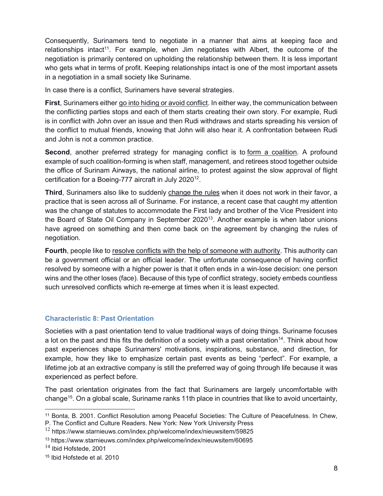Consequently, Surinamers tend to negotiate in a manner that aims at keeping face and relationships intact<sup>11</sup>. For example, when Jim negotiates with Albert, the outcome of the negotiation is primarily centered on upholding the relationship between them. It is less important who gets what in terms of profit. Keeping relationships intact is one of the most important assets in a negotiation in a small society like Suriname.

In case there is a conflict, Surinamers have several strategies.

First, Surinamers either go into hiding or avoid conflict. In either way, the communication between the conflicting parties stops and each of them starts creating their own story. For example, Rudi is in conflict with John over an issue and then Rudi withdraws and starts spreading his version of the conflict to mutual friends, knowing that John will also hear it. A confrontation between Rudi and John is not a common practice.

Second, another preferred strategy for managing conflict is to form a coalition. A profound example of such coalition-forming is when staff, management, and retirees stood together outside the office of Surinam Airways, the national airline, to protest against the slow approval of flight certification for a Boeing-777 aircraft in July 2020<sup>12</sup>.

Third, Surinamers also like to suddenly change the rules when it does not work in their favor, a practice that is seen across all of Suriname. For instance, a recent case that caught my attention was the change of statutes to accommodate the First lady and brother of the Vice President into the Board of State Oil Company in September 2020<sup>13</sup>. Another example is when labor unions have agreed on something and then come back on the agreement by changing the rules of negotiation.

Fourth, people like to resolve conflicts with the help of someone with authority. This authority can be a government official or an official leader. The unfortunate consequence of having conflict resolved by someone with a higher power is that it often ends in a win-lose decision: one person wins and the other loses (face). Because of this type of conflict strategy, society embeds countless such unresolved conflicts which re-emerge at times when it is least expected.

## Characteristic 8: Past Orientation

Societies with a past orientation tend to value traditional ways of doing things. Suriname focuses a lot on the past and this fits the definition of a society with a past orientation<sup>14</sup>. Think about how past experiences shape Surinamers' motivations, inspirations, substance, and direction, for example, how they like to emphasize certain past events as being "perfect". For example, a lifetime job at an extractive company is still the preferred way of going through life because it was experienced as perfect before.

The past orientation originates from the fact that Surinamers are largely uncomfortable with change<sup>15</sup>. On a global scale, Suriname ranks 11th place in countries that like to avoid uncertainty,

<sup>11</sup> Bonta, B. 2001. Conflict Resolution among Peaceful Societies: The Culture of Peacefulness. In Chew,

P. The Conflict and Culture Readers. New York: New York University Press

 $12$  https://www.starnieuws.com/index.php/welcome/index/nieuwsitem/59825

<sup>13</sup> https://www.starnieuws.com/index.php/welcome/index/nieuwsitem/60695

 $14$  Ibid Hofstede, 2001

<sup>15</sup> Ibid Hofstede et al. 2010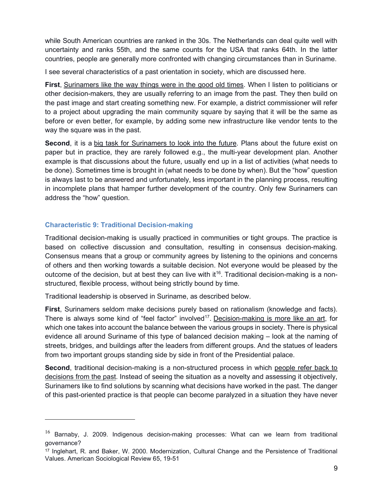while South American countries are ranked in the 30s. The Netherlands can deal quite well with uncertainty and ranks 55th, and the same counts for the USA that ranks 64th. In the latter countries, people are generally more confronted with changing circumstances than in Suriname.

I see several characteristics of a past orientation in society, which are discussed here.

First, Surinamers like the way things were in the good old times. When I listen to politicians or other decision-makers, they are usually referring to an image from the past. They then build on the past image and start creating something new. For example, a district commissioner will refer to a project about upgrading the main community square by saying that it will be the same as before or even better, for example, by adding some new infrastructure like vendor tents to the way the square was in the past.

Second, it is a big task for Surinamers to look into the future. Plans about the future exist on paper but in practice, they are rarely followed e.g., the multi-year development plan. Another example is that discussions about the future, usually end up in a list of activities (what needs to be done). Sometimes time is brought in (what needs to be done by when). But the "how" question is always last to be answered and unfortunately, less important in the planning process, resulting in incomplete plans that hamper further development of the country. Only few Surinamers can address the "how" question.

#### Characteristic 9: Traditional Decision-making

Traditional decision-making is usually practiced in communities or tight groups. The practice is based on collective discussion and consultation, resulting in consensus decision-making. Consensus means that a group or community agrees by listening to the opinions and concerns of others and then working towards a suitable decision. Not everyone would be pleased by the outcome of the decision, but at best they can live with it<sup>16</sup>. Traditional decision-making is a nonstructured, flexible process, without being strictly bound by time.

Traditional leadership is observed in Suriname, as described below.

First, Surinamers seldom make decisions purely based on rationalism (knowledge and facts). There is always some kind of "feel factor" involved<sup>17</sup>. Decision-making is more like an art, for which one takes into account the balance between the various groups in society. There is physical evidence all around Suriname of this type of balanced decision making – look at the naming of streets, bridges, and buildings after the leaders from different groups. And the statues of leaders from two important groups standing side by side in front of the Presidential palace.

Second, traditional decision-making is a non-structured process in which people refer back to decisions from the past. Instead of seeing the situation as a novelty and assessing it objectively, Surinamers like to find solutions by scanning what decisions have worked in the past. The danger of this past-oriented practice is that people can become paralyzed in a situation they have never

 $16$  Barnaby, J. 2009. Indigenous decision-making processes: What can we learn from traditional governance?

<sup>17</sup> Inglehart, R. and Baker, W. 2000. Modernization, Cultural Change and the Persistence of Traditional Values. American Sociological Review 65, 19-51